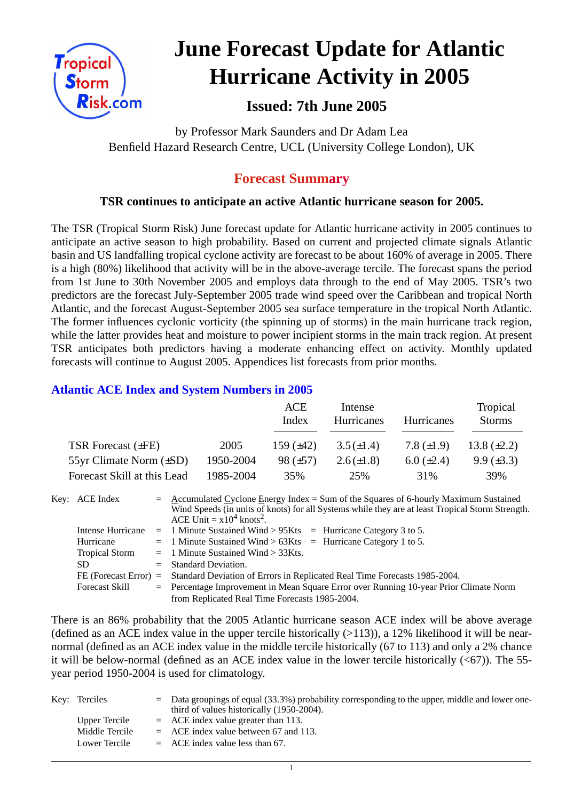

# **June Forecast Update for Atlantic Hurricane Activity in 2005**

# **Issued: 7th June 2005**

by Professor Mark Saunders and Dr Adam Lea Benfield Hazard Research Centre, UCL (University College London), UK

# **Forecast Summary**

# **TSR continues to anticipate an active Atlantic hurricane season for 2005.**

The TSR (Tropical Storm Risk) June forecast update for Atlantic hurricane activity in 2005 continues to anticipate an active season to high probability. Based on current and projected climate signals Atlantic basin and US landfalling tropical cyclone activity are forecast to be about 160% of average in 2005. There is a high (80%) likelihood that activity will be in the above-average tercile. The forecast spans the period from 1st June to 30th November 2005 and employs data through to the end of May 2005. TSR's two predictors are the forecast July-September 2005 trade wind speed over the Caribbean and tropical North Atlantic, and the forecast August-September 2005 sea surface temperature in the tropical North Atlantic. The former influences cyclonic vorticity (the spinning up of storms) in the main hurricane track region, while the latter provides heat and moisture to power incipient storms in the main track region. At present TSR anticipates both predictors having a moderate enhancing effect on activity. Monthly updated forecasts will continue to August 2005. Appendices list forecasts from prior months.

## **Atlantic ACE Index and System Numbers in 2005**

|                              |           | ACE<br>Index   | Intense<br><b>Hurricanes</b> | <b>Hurricanes</b> | Tropical<br><b>Storms</b> |
|------------------------------|-----------|----------------|------------------------------|-------------------|---------------------------|
| TSR Forecast $(\pm FE)$      | 2005      | 159 $(\pm 42)$ | $3.5(\pm 1.4)$               | 7.8 $(\pm 1.9)$   | 13.8 $(\pm 2.2)$          |
| 55yr Climate Norm $(\pm SD)$ | 1950-2004 | 98 $(\pm 57)$  | $2.6(\pm 1.8)$               | $6.0 \ (\pm 2.4)$ | $9.9 \ (\pm 3.3)$         |
| Forecast Skill at this Lead  | 1985-2004 | 35%            | 25%                          | 31%               | 39%                       |

Key: ACE Index =  $\triangle$  ccumulated Cyclone Energy Index = Sum of the Squares of 6-hourly Maximum Sustained Wind Speeds (in units of knots) for all Systems while they are at least Tropical Storm Strength. ACE Unit  $= x10^4$  knots<sup>2</sup>. Intense Hurricane  $= 1$  Minute Sustained Wind > 95Kts  $=$  Hurricane Category 3 to 5. Hurricane  $= 1$  Minute Sustained Wind  $> 63K$ ts = Hurricane Category 1 to 5.

| Tropical Storm        | $=$ 1 Minute Sustained Wind $>$ 33Kts.                                                          |
|-----------------------|-------------------------------------------------------------------------------------------------|
| SD.                   | $=$ Standard Deviation.                                                                         |
|                       | FE (Forecast Error) = Standard Deviation of Errors in Replicated Real Time Forecasts 1985-2004. |
| <b>Forecast Skill</b> | $=$ Percentage Improvement in Mean Square Error over Running 10-year Prior Climate Norm         |
|                       | from Replicated Real Time Forecasts 1985-2004.                                                  |

There is an 86% probability that the 2005 Atlantic hurricane season ACE index will be above average (defined as an ACE index value in the upper tercile historically  $(>113)$ ), a 12% likelihood it will be nearnormal (defined as an ACE index value in the middle tercile historically (67 to 113) and only a 2% chance it will be below-normal (defined as an ACE index value in the lower tercile historically  $( $67$ )$ ). The 55year period 1950-2004 is used for climatology.

| Key: Terciles  | $\epsilon$ Data groupings of equal (33.3%) probability corresponding to the upper, middle and lower one-<br>third of values historically (1950-2004). |
|----------------|-------------------------------------------------------------------------------------------------------------------------------------------------------|
| Upper Tercile  | $=$ ACE index value greater than 113.                                                                                                                 |
| Middle Tercile | $=$ ACE index value between 67 and 113.                                                                                                               |
| Lower Tercile  | $=$ ACE index value less than 67.                                                                                                                     |

1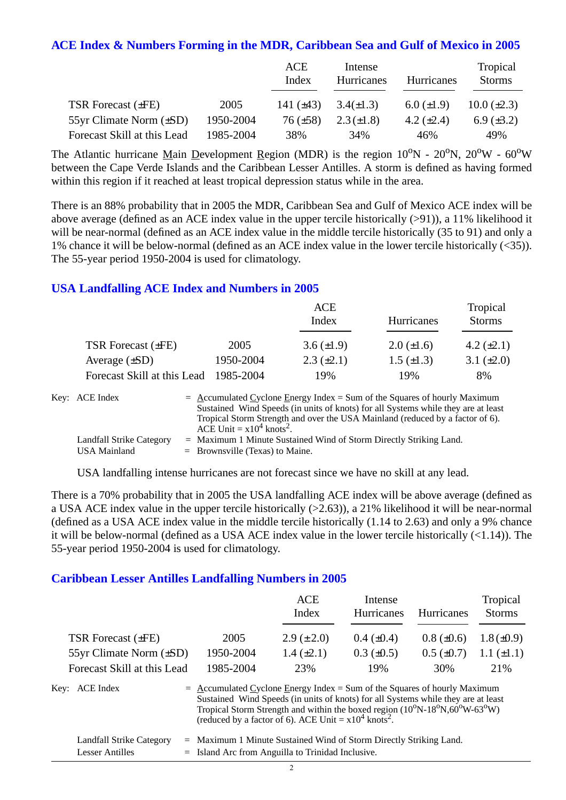#### **ACE Index & Numbers Forming in the MDR, Caribbean Sea and Gulf of Mexico in 2005**

|                              |           | ACE<br>Index    | Intense<br>Hurricanes | Hurricanes        | Tropical<br><b>Storms</b> |
|------------------------------|-----------|-----------------|-----------------------|-------------------|---------------------------|
| TSR Forecast $(\pm FE)$      | 2005      | 141 $(\pm 43)$  | $3.4(\pm 1.3)$        | $6.0 \ (\pm 1.9)$ | $10.0 (\pm 2.3)$          |
| 55yr Climate Norm $(\pm SD)$ | 1950-2004 | $76 \ (\pm 58)$ | $2.3(\pm 1.8)$        | 4.2 $(\pm 2.4)$   | $6.9 \ (\pm 3.2)$         |
| Forecast Skill at this Lead  | 1985-2004 | 38%             | 34%                   | 46%               | 49%                       |

The Atlantic hurricane Main Development Region (MDR) is the region  $10^{\circ}N - 20^{\circ}N$ ,  $20^{\circ}W - 60^{\circ}W$ between the Cape Verde Islands and the Caribbean Lesser Antilles. A storm is defined as having formed within this region if it reached at least tropical depression status while in the area.

There is an 88% probability that in 2005 the MDR, Caribbean Sea and Gulf of Mexico ACE index will be above average (defined as an ACE index value in the upper tercile historically (>91)), a 11% likelihood it will be near-normal (defined as an ACE index value in the middle tercile historically (35 to 91) and only a 1% chance it will be below-normal (defined as an ACE index value in the lower tercile historically (<35)). The 55-year period 1950-2004 is used for climatology.

## **USA Landfalling ACE Index and Numbers in 2005**

|                             |           | <b>ACE</b><br>Index | <b>Hurricanes</b> | Tropical<br><b>Storms</b> |
|-----------------------------|-----------|---------------------|-------------------|---------------------------|
| TSR Forecast $(\pm FE)$     | 2005      | 3.6 $(\pm 1.9)$     | $2.0 \ (\pm 1.6)$ | 4.2 $(\pm 2.1)$           |
| Average $(\pm SD)$          | 1950-2004 | $2.3 \ (\pm 2.1)$   | $1.5 \ (\pm 1.3)$ | 3.1 $(\pm 2.0)$           |
| Forecast Skill at this Lead | 1985-2004 | 19%                 | 19%               | 8%                        |

| Key: ACE Index           | $=$ Accumulated Cyclone Energy Index $=$ Sum of the Squares of hourly Maximum     |
|--------------------------|-----------------------------------------------------------------------------------|
|                          | Sustained Wind Speeds (in units of knots) for all Systems while they are at least |
|                          | Tropical Storm Strength and over the USA Mainland (reduced by a factor of 6).     |
|                          | ACE Unit = $x10^4$ knots <sup>2</sup> .                                           |
| Landfall Strike Category | $=$ Maximum 1 Minute Sustained Wind of Storm Directly Striking Land.              |
| USA Mainland             | $=$ Brownsville (Texas) to Maine.                                                 |

USA landfalling intense hurricanes are not forecast since we have no skill at any lead.

There is a 70% probability that in 2005 the USA landfalling ACE index will be above average (defined as a USA ACE index value in the upper tercile historically (>2.63)), a 21% likelihood it will be near-normal (defined as a USA ACE index value in the middle tercile historically (1.14 to 2.63) and only a 9% chance it will be below-normal (defined as a USA ACE index value in the lower tercile historically (<1.14)). The 55-year period 1950-2004 is used for climatology.

#### **Caribbean Lesser Antilles Landfalling Numbers in 2005**

|                              |                                                                                                                                                                                                                                                                                                                             | <b>ACE</b><br>Index | Intense<br>Hurricanes | <b>Hurricanes</b> | Tropical<br><b>Storms</b> |  |
|------------------------------|-----------------------------------------------------------------------------------------------------------------------------------------------------------------------------------------------------------------------------------------------------------------------------------------------------------------------------|---------------------|-----------------------|-------------------|---------------------------|--|
| <b>TSR Forecast (±FE)</b>    | 2005                                                                                                                                                                                                                                                                                                                        | $2.9 \ (\pm 2.0)$   | $0.4~(\pm 0.4)$       | $0.8 (\pm 0.6)$   | $1.8 (\pm 0.9)$           |  |
| 55yr Climate Norm $(\pm SD)$ | 1950-2004                                                                                                                                                                                                                                                                                                                   | $1.4 \ (\pm 2.1)$   | $0.3 \ (\pm 0.5)$     | $0.5 \ (\pm 0.7)$ | $1.1 (\pm 1.1)$           |  |
| Forecast Skill at this Lead  | 1985-2004                                                                                                                                                                                                                                                                                                                   | 23%                 | 19%                   | 30%               | 21%                       |  |
| Key: ACE Index               | $=$ Accumulated Cyclone Energy Index = Sum of the Squares of hourly Maximum<br>Sustained Wind Speeds (in units of knots) for all Systems while they are at least<br>Tropical Storm Strength and within the boxed region $(10^0N-18^0N, 60^0W-63^0W)$<br>(reduced by a factor of 6). ACE Unit = $x10^4$ knots <sup>2</sup> . |                     |                       |                   |                           |  |

|                 | Landfall Strike Category = Maximum 1 Minute Sustained Wind of Storm Directly Striking Land. |
|-----------------|---------------------------------------------------------------------------------------------|
| Lesser Antilles | $=$ Island Arc from Anguilla to Trinidad Inclusive.                                         |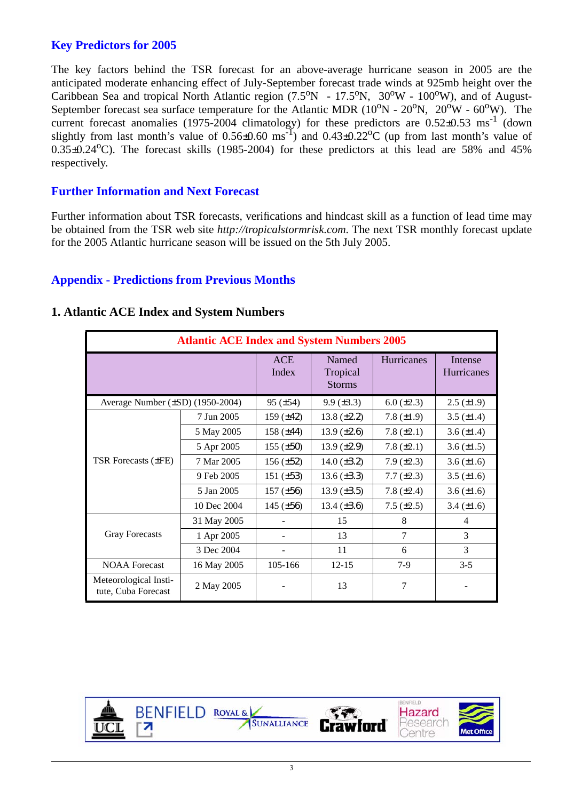## **Key Predictors for 2005**

The key factors behind the TSR forecast for an above-average hurricane season in 2005 are the anticipated moderate enhancing effect of July-September forecast trade winds at 925mb height over the Caribbean Sea and tropical North Atlantic region  $(7.5^{\circ}N - 17.5^{\circ}N, 30^{\circ}W - 100^{\circ}W)$ , and of August-September forecast sea surface temperature for the Atlantic MDR  $(10^{\circ}N - 20^{\circ}N, 20^{\circ}W - 60^{\circ}W)$ . The current forecast anomalies (1975-2004 climatology) for these predictors are  $0.52\pm0.53$  ms<sup>-1</sup> (down slightly from last month's value of  $0.56 \pm 0.60$  ms<sup>-1</sup>) and  $0.43 \pm 0.22$ <sup>o</sup>C (up from last month's value of  $0.35\pm0.24$ <sup>o</sup>C). The forecast skills (1985-2004) for these predictors at this lead are 58% and 45% respectively.

## **Further Information and Next Forecast**

Further information about TSR forecasts, verifications and hindcast skill as a function of lead time may be obtained from the TSR web site *http://tropicalstormrisk.com*. The next TSR monthly forecast update for the 2005 Atlantic hurricane season will be issued on the 5th July 2005.

## **Appendix - Predictions from Previous Months**

| <b>Atlantic ACE Index and System Numbers 2005</b> |                     |                                    |                   |                              |                   |  |
|---------------------------------------------------|---------------------|------------------------------------|-------------------|------------------------------|-------------------|--|
|                                                   | <b>ACE</b><br>Index | Named<br>Tropical<br><b>Storms</b> | Hurricanes        | Intense<br><b>Hurricanes</b> |                   |  |
| Average Number (±SD) (1950-2004)                  |                     | $95 (\pm 54)$                      | $9.9 \ (\pm 3.3)$ | $6.0 (\pm 2.3)$              | $2.5 \ (\pm 1.9)$ |  |
|                                                   | 7 Jun 2005          | 159 $(\pm 42)$                     | 13.8 $(\pm 2.2)$  | 7.8 $(\pm 1.9)$              | 3.5 $(\pm 1.4)$   |  |
|                                                   | 5 May 2005          | 158 $(\pm 44)$                     | 13.9 $(\pm 2.6)$  | 7.8 $(\pm 2.1)$              | 3.6 $(\pm 1.4)$   |  |
| <b>TSR Forecasts (±FE)</b>                        | 5 Apr 2005          | 155 $(\pm 50)$                     | 13.9 $(\pm 2.9)$  | 7.8 $(\pm 2.1)$              | 3.6 $(\pm 1.5)$   |  |
|                                                   | 7 Mar 2005          | $156 (\pm 52)$                     | 14.0 $(\pm 3.2)$  | 7.9 $(\pm 2.3)$              | 3.6 $(\pm 1.6)$   |  |
|                                                   | 9 Feb 2005          | 151 $(\pm 53)$                     | 13.6 $(\pm 3.3)$  | $7.7 (\pm 2.3)$              | 3.5 $(\pm 1.6)$   |  |
|                                                   | 5 Jan 2005          | 157 $(\pm 56)$                     | 13.9 $(\pm 3.5)$  | 7.8 $(\pm 2.4)$              | 3.6 $(\pm 1.6)$   |  |
|                                                   | 10 Dec 2004         | 145 $(\pm 56)$                     | 13.4 $(\pm 3.6)$  | 7.5 $(\pm 2.5)$              | $3.4 (\pm 1.6)$   |  |
|                                                   | 31 May 2005         |                                    | 15                | 8                            | 4                 |  |
| <b>Gray Forecasts</b>                             | 1 Apr 2005          |                                    | 13                | $\tau$                       | 3                 |  |
|                                                   | 3 Dec 2004          |                                    | 11                | 6                            | 3                 |  |
| <b>NOAA</b> Forecast                              | 16 May 2005         | 105-166                            | $12 - 15$         | $7-9$                        | $3 - 5$           |  |
| Meteorological Insti-<br>tute, Cuba Forecast      | 2 May 2005          |                                    | 13                | 7                            |                   |  |

#### **1. Atlantic ACE Index and System Numbers**